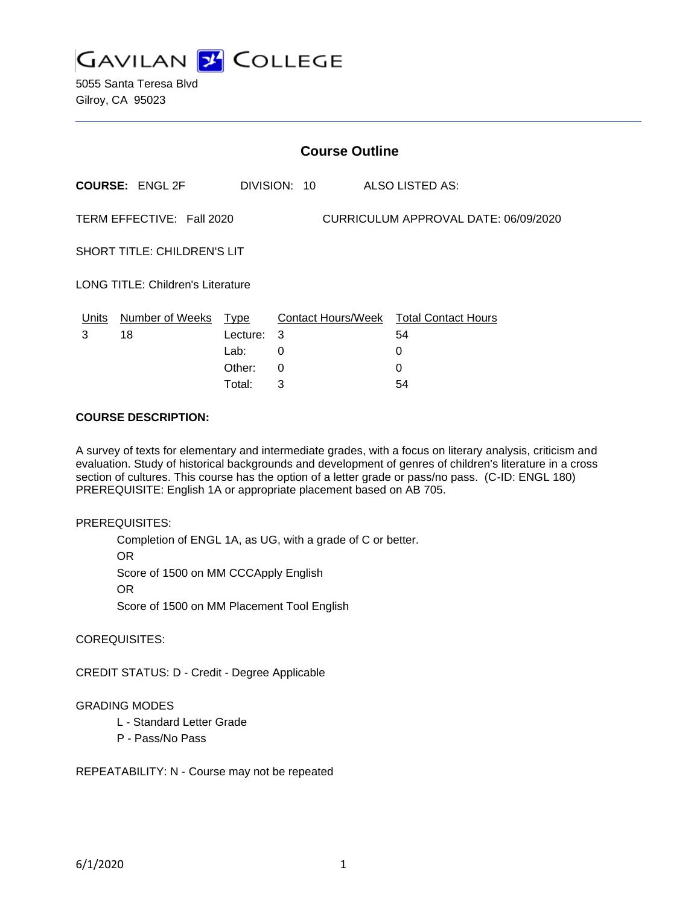

5055 Santa Teresa Blvd Gilroy, CA 95023

|                                                                   | <b>Course Outline</b>  |          |              |                                        |  |  |
|-------------------------------------------------------------------|------------------------|----------|--------------|----------------------------------------|--|--|
|                                                                   | <b>COURSE: ENGL 2F</b> |          | DIVISION: 10 | ALSO LISTED AS:                        |  |  |
| TERM EFFECTIVE: Fall 2020<br>CURRICULUM APPROVAL DATE: 06/09/2020 |                        |          |              |                                        |  |  |
| <b>SHORT TITLE: CHILDREN'S LIT</b>                                |                        |          |              |                                        |  |  |
| <b>LONG TITLE: Children's Literature</b>                          |                        |          |              |                                        |  |  |
| Units                                                             | Number of Weeks Type   |          |              | Contact Hours/Week Total Contact Hours |  |  |
| 3                                                                 | 18                     | Lecture: | 3            | 54                                     |  |  |
|                                                                   |                        | Lab:     | 0            | 0                                      |  |  |
|                                                                   |                        | Other:   | 0            | 0                                      |  |  |

Total: 3 54

#### **COURSE DESCRIPTION:**

A survey of texts for elementary and intermediate grades, with a focus on literary analysis, criticism and evaluation. Study of historical backgrounds and development of genres of children's literature in a cross section of cultures. This course has the option of a letter grade or pass/no pass. (C-ID: ENGL 180) PREREQUISITE: English 1A or appropriate placement based on AB 705.

#### PREREQUISITES:

Completion of ENGL 1A, as UG, with a grade of C or better. OR Score of 1500 on MM CCCApply English OR Score of 1500 on MM Placement Tool English

#### COREQUISITES:

CREDIT STATUS: D - Credit - Degree Applicable

#### GRADING MODES

- L Standard Letter Grade
- P Pass/No Pass

REPEATABILITY: N - Course may not be repeated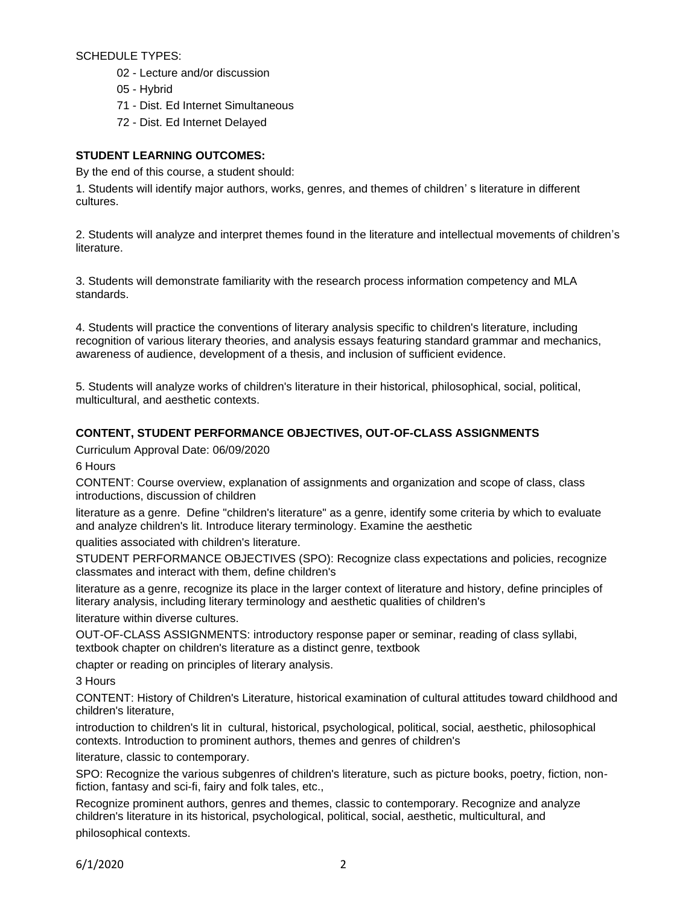SCHEDULE TYPES:

- 02 Lecture and/or discussion
- 05 Hybrid
- 71 Dist. Ed Internet Simultaneous
- 72 Dist. Ed Internet Delayed

### **STUDENT LEARNING OUTCOMES:**

By the end of this course, a student should:

1. Students will identify major authors, works, genres, and themes of children' s literature in different cultures.

2. Students will analyze and interpret themes found in the literature and intellectual movements of children's literature.

3. Students will demonstrate familiarity with the research process information competency and MLA standards.

4. Students will practice the conventions of literary analysis specific to children's literature, including recognition of various literary theories, and analysis essays featuring standard grammar and mechanics, awareness of audience, development of a thesis, and inclusion of sufficient evidence.

5. Students will analyze works of children's literature in their historical, philosophical, social, political, multicultural, and aesthetic contexts.

## **CONTENT, STUDENT PERFORMANCE OBJECTIVES, OUT-OF-CLASS ASSIGNMENTS**

Curriculum Approval Date: 06/09/2020

6 Hours

CONTENT: Course overview, explanation of assignments and organization and scope of class, class introductions, discussion of children

literature as a genre. Define "children's literature" as a genre, identify some criteria by which to evaluate and analyze children's lit. Introduce literary terminology. Examine the aesthetic

qualities associated with children's literature.

STUDENT PERFORMANCE OBJECTIVES (SPO): Recognize class expectations and policies, recognize classmates and interact with them, define children's

literature as a genre, recognize its place in the larger context of literature and history, define principles of literary analysis, including literary terminology and aesthetic qualities of children's

literature within diverse cultures.

OUT-OF-CLASS ASSIGNMENTS: introductory response paper or seminar, reading of class syllabi, textbook chapter on children's literature as a distinct genre, textbook

chapter or reading on principles of literary analysis.

3 Hours

CONTENT: History of Children's Literature, historical examination of cultural attitudes toward childhood and children's literature,

introduction to children's lit in cultural, historical, psychological, political, social, aesthetic, philosophical contexts. Introduction to prominent authors, themes and genres of children's

literature, classic to contemporary.

SPO: Recognize the various subgenres of children's literature, such as picture books, poetry, fiction, nonfiction, fantasy and sci-fi, fairy and folk tales, etc.,

Recognize prominent authors, genres and themes, classic to contemporary. Recognize and analyze children's literature in its historical, psychological, political, social, aesthetic, multicultural, and philosophical contexts.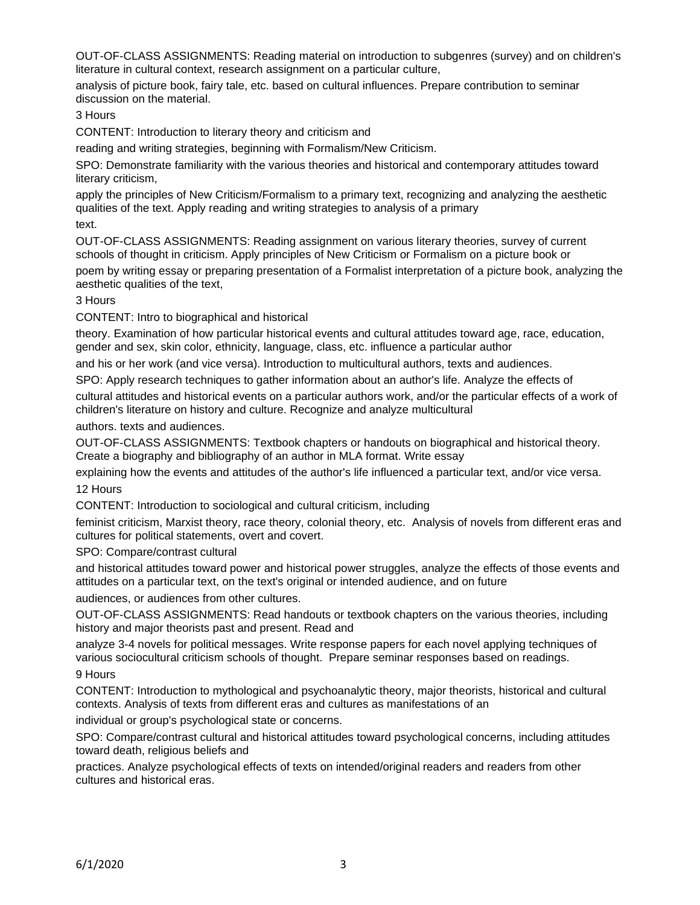OUT-OF-CLASS ASSIGNMENTS: Reading material on introduction to subgenres (survey) and on children's literature in cultural context, research assignment on a particular culture,

analysis of picture book, fairy tale, etc. based on cultural influences. Prepare contribution to seminar discussion on the material.

3 Hours

CONTENT: Introduction to literary theory and criticism and

reading and writing strategies, beginning with Formalism/New Criticism.

SPO: Demonstrate familiarity with the various theories and historical and contemporary attitudes toward literary criticism,

apply the principles of New Criticism/Formalism to a primary text, recognizing and analyzing the aesthetic qualities of the text. Apply reading and writing strategies to analysis of a primary

text.

OUT-OF-CLASS ASSIGNMENTS: Reading assignment on various literary theories, survey of current schools of thought in criticism. Apply principles of New Criticism or Formalism on a picture book or

poem by writing essay or preparing presentation of a Formalist interpretation of a picture book, analyzing the aesthetic qualities of the text,

3 Hours

CONTENT: Intro to biographical and historical

theory. Examination of how particular historical events and cultural attitudes toward age, race, education, gender and sex, skin color, ethnicity, language, class, etc. influence a particular author

and his or her work (and vice versa). Introduction to multicultural authors, texts and audiences.

SPO: Apply research techniques to gather information about an author's life. Analyze the effects of

cultural attitudes and historical events on a particular authors work, and/or the particular effects of a work of children's literature on history and culture. Recognize and analyze multicultural

authors. texts and audiences.

OUT-OF-CLASS ASSIGNMENTS: Textbook chapters or handouts on biographical and historical theory. Create a biography and bibliography of an author in MLA format. Write essay

explaining how the events and attitudes of the author's life influenced a particular text, and/or vice versa. 12 Hours

CONTENT: Introduction to sociological and cultural criticism, including

feminist criticism, Marxist theory, race theory, colonial theory, etc. Analysis of novels from different eras and cultures for political statements, overt and covert.

SPO: Compare/contrast cultural

and historical attitudes toward power and historical power struggles, analyze the effects of those events and attitudes on a particular text, on the text's original or intended audience, and on future

audiences, or audiences from other cultures.

OUT-OF-CLASS ASSIGNMENTS: Read handouts or textbook chapters on the various theories, including history and major theorists past and present. Read and

analyze 3-4 novels for political messages. Write response papers for each novel applying techniques of various sociocultural criticism schools of thought. Prepare seminar responses based on readings.

9 Hours

CONTENT: Introduction to mythological and psychoanalytic theory, major theorists, historical and cultural contexts. Analysis of texts from different eras and cultures as manifestations of an

individual or group's psychological state or concerns.

SPO: Compare/contrast cultural and historical attitudes toward psychological concerns, including attitudes toward death, religious beliefs and

practices. Analyze psychological effects of texts on intended/original readers and readers from other cultures and historical eras.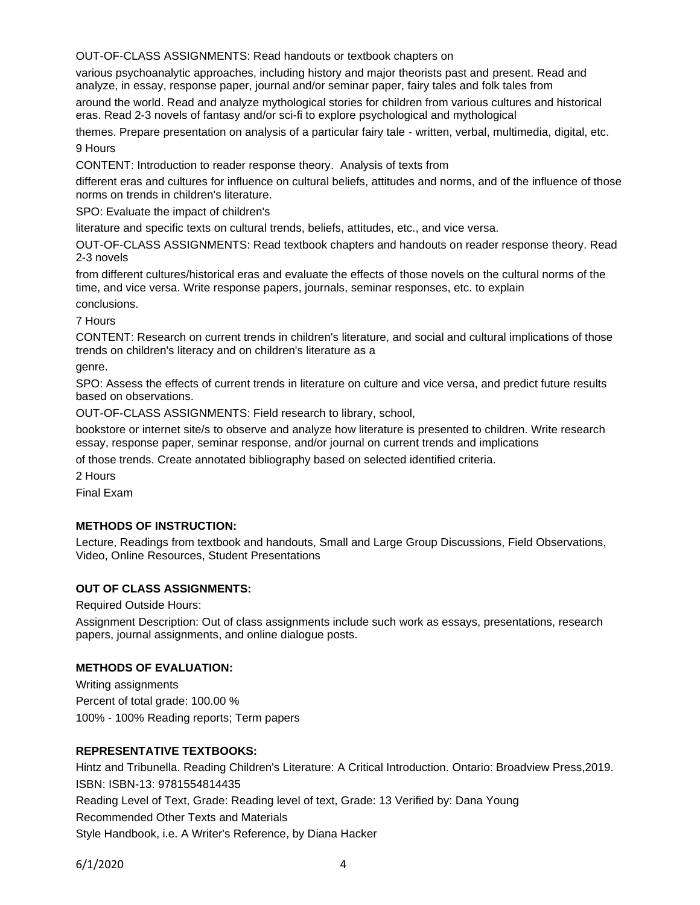OUT-OF-CLASS ASSIGNMENTS: Read handouts or textbook chapters on

various psychoanalytic approaches, including history and major theorists past and present. Read and analyze, in essay, response paper, journal and/or seminar paper, fairy tales and folk tales from around the world. Read and analyze mythological stories for children from various cultures and historical

eras. Read 2-3 novels of fantasy and/or sci-fi to explore psychological and mythological

themes. Prepare presentation on analysis of a particular fairy tale - written, verbal, multimedia, digital, etc. 9 Hours

CONTENT: Introduction to reader response theory. Analysis of texts from

different eras and cultures for influence on cultural beliefs, attitudes and norms, and of the influence of those norms on trends in children's literature.

SPO: Evaluate the impact of children's

literature and specific texts on cultural trends, beliefs, attitudes, etc., and vice versa.

OUT-OF-CLASS ASSIGNMENTS: Read textbook chapters and handouts on reader response theory. Read 2-3 novels

from different cultures/historical eras and evaluate the effects of those novels on the cultural norms of the time, and vice versa. Write response papers, journals, seminar responses, etc. to explain conclusions.

7 Hours

CONTENT: Research on current trends in children's literature, and social and cultural implications of those trends on children's literacy and on children's literature as a

genre.

SPO: Assess the effects of current trends in literature on culture and vice versa, and predict future results based on observations.

OUT-OF-CLASS ASSIGNMENTS: Field research to library, school,

bookstore or internet site/s to observe and analyze how literature is presented to children. Write research essay, response paper, seminar response, and/or journal on current trends and implications

of those trends. Create annotated bibliography based on selected identified criteria.

2 Hours

Final Exam

## **METHODS OF INSTRUCTION:**

Lecture, Readings from textbook and handouts, Small and Large Group Discussions, Field Observations, Video, Online Resources, Student Presentations

## **OUT OF CLASS ASSIGNMENTS:**

Required Outside Hours:

Assignment Description: Out of class assignments include such work as essays, presentations, research papers, journal assignments, and online dialogue posts.

### **METHODS OF EVALUATION:**

Writing assignments Percent of total grade: 100.00 % 100% - 100% Reading reports; Term papers

### **REPRESENTATIVE TEXTBOOKS:**

Hintz and Tribunella. Reading Children's Literature: A Critical Introduction. Ontario: Broadview Press,2019. ISBN: ISBN-13: 9781554814435 Reading Level of Text, Grade: Reading level of text, Grade: 13 Verified by: Dana Young Recommended Other Texts and Materials Style Handbook, i.e. A Writer's Reference, by Diana Hacker